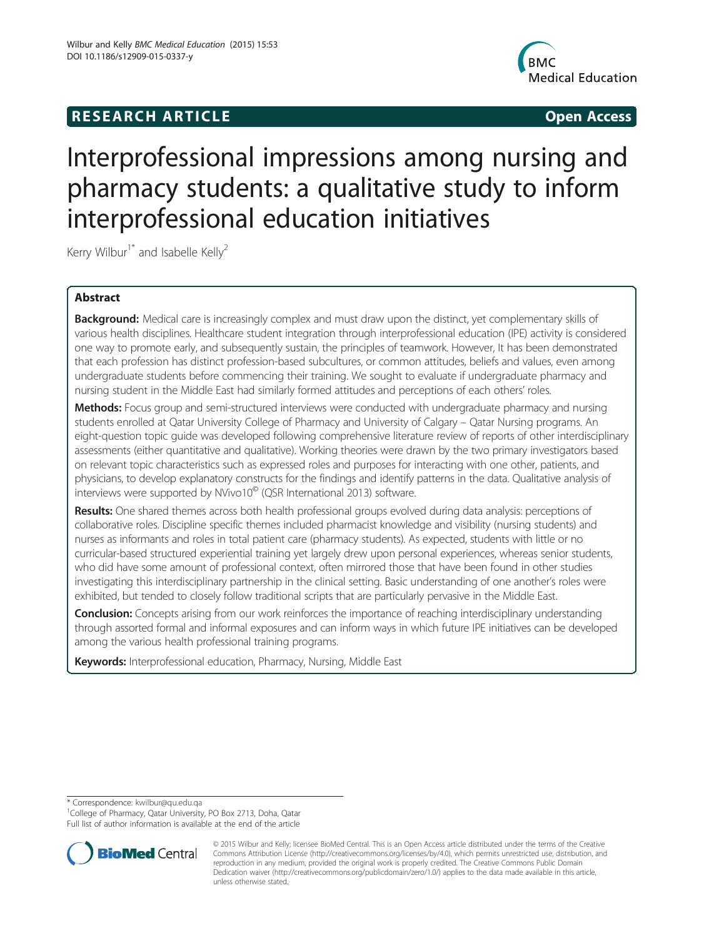# **RESEARCH ARTICLE CONSUMING A RESEARCH ARTICLE**



# Interprofessional impressions among nursing and pharmacy students: a qualitative study to inform interprofessional education initiatives

Kerry Wilbur<sup>1\*</sup> and Isabelle Kelly<sup>2</sup>

# Abstract

Background: Medical care is increasingly complex and must draw upon the distinct, yet complementary skills of various health disciplines. Healthcare student integration through interprofessional education (IPE) activity is considered one way to promote early, and subsequently sustain, the principles of teamwork. However, It has been demonstrated that each profession has distinct profession-based subcultures, or common attitudes, beliefs and values, even among undergraduate students before commencing their training. We sought to evaluate if undergraduate pharmacy and nursing student in the Middle East had similarly formed attitudes and perceptions of each others' roles.

Methods: Focus group and semi-structured interviews were conducted with undergraduate pharmacy and nursing students enrolled at Qatar University College of Pharmacy and University of Calgary – Qatar Nursing programs. An eight-question topic guide was developed following comprehensive literature review of reports of other interdisciplinary assessments (either quantitative and qualitative). Working theories were drawn by the two primary investigators based on relevant topic characteristics such as expressed roles and purposes for interacting with one other, patients, and physicians, to develop explanatory constructs for the findings and identify patterns in the data. Qualitative analysis of interviews were supported by NVivo10© (QSR International 2013) software.

Results: One shared themes across both health professional groups evolved during data analysis: perceptions of collaborative roles. Discipline specific themes included pharmacist knowledge and visibility (nursing students) and nurses as informants and roles in total patient care (pharmacy students). As expected, students with little or no curricular-based structured experiential training yet largely drew upon personal experiences, whereas senior students, who did have some amount of professional context, often mirrored those that have been found in other studies investigating this interdisciplinary partnership in the clinical setting. Basic understanding of one another's roles were exhibited, but tended to closely follow traditional scripts that are particularly pervasive in the Middle East.

**Conclusion:** Concepts arising from our work reinforces the importance of reaching interdisciplinary understanding through assorted formal and informal exposures and can inform ways in which future IPE initiatives can be developed among the various health professional training programs.

Keywords: Interprofessional education, Pharmacy, Nursing, Middle East

\* Correspondence: [kwilbur@qu.edu.qa](mailto:kwilbur@qu.edu.qa) <sup>1</sup>

<sup>1</sup>College of Pharmacy, Qatar University, PO Box 2713, Doha, Qatar Full list of author information is available at the end of the article



<sup>© 2015</sup> Wilbur and Kelly; licensee BioMed Central. This is an Open Access article distributed under the terms of the Creative Commons Attribution License [\(http://creativecommons.org/licenses/by/4.0\)](http://creativecommons.org/licenses/by/4.0), which permits unrestricted use, distribution, and reproduction in any medium, provided the original work is properly credited. The Creative Commons Public Domain Dedication waiver [\(http://creativecommons.org/publicdomain/zero/1.0/](http://creativecommons.org/publicdomain/zero/1.0/)) applies to the data made available in this article, unless otherwise stated.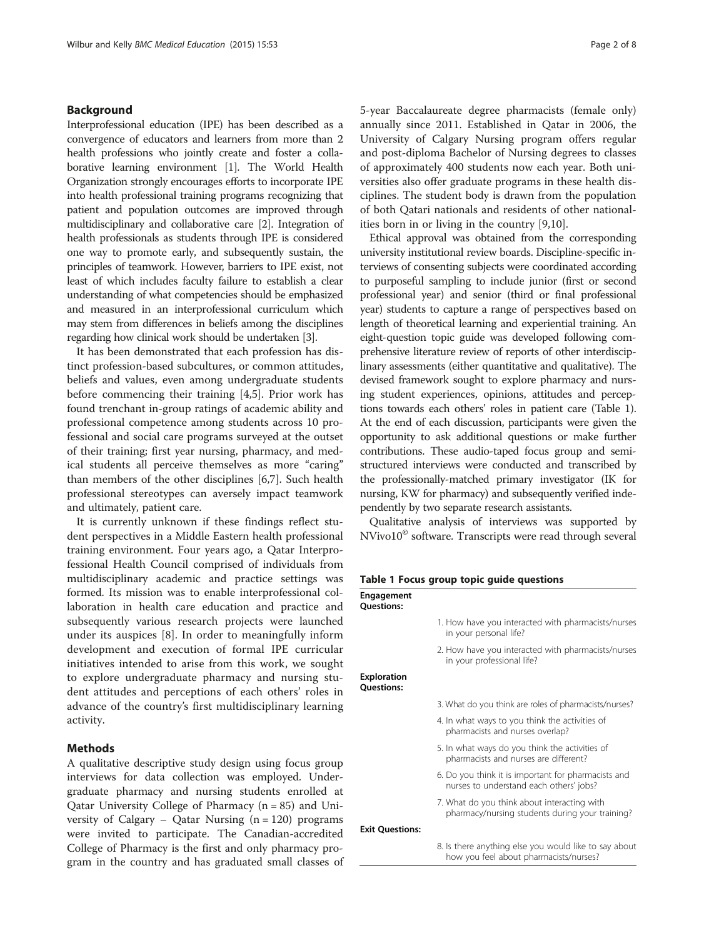# Background

Interprofessional education (IPE) has been described as a convergence of educators and learners from more than 2 health professions who jointly create and foster a collaborative learning environment [\[1\]](#page-6-0). The World Health Organization strongly encourages efforts to incorporate IPE into health professional training programs recognizing that patient and population outcomes are improved through multidisciplinary and collaborative care [[2](#page-6-0)]. Integration of health professionals as students through IPE is considered one way to promote early, and subsequently sustain, the principles of teamwork. However, barriers to IPE exist, not least of which includes faculty failure to establish a clear understanding of what competencies should be emphasized and measured in an interprofessional curriculum which may stem from differences in beliefs among the disciplines regarding how clinical work should be undertaken [\[3\]](#page-6-0).

It has been demonstrated that each profession has distinct profession-based subcultures, or common attitudes, beliefs and values, even among undergraduate students before commencing their training [\[4,5](#page-6-0)]. Prior work has found trenchant in-group ratings of academic ability and professional competence among students across 10 professional and social care programs surveyed at the outset of their training; first year nursing, pharmacy, and medical students all perceive themselves as more "caring" than members of the other disciplines [\[6,7](#page-6-0)]. Such health professional stereotypes can aversely impact teamwork and ultimately, patient care.

It is currently unknown if these findings reflect student perspectives in a Middle Eastern health professional training environment. Four years ago, a Qatar Interprofessional Health Council comprised of individuals from multidisciplinary academic and practice settings was formed. Its mission was to enable interprofessional collaboration in health care education and practice and subsequently various research projects were launched under its auspices [[8\]](#page-6-0). In order to meaningfully inform development and execution of formal IPE curricular initiatives intended to arise from this work, we sought to explore undergraduate pharmacy and nursing student attitudes and perceptions of each others' roles in advance of the country's first multidisciplinary learning activity.

#### Methods

A qualitative descriptive study design using focus group interviews for data collection was employed. Undergraduate pharmacy and nursing students enrolled at Qatar University College of Pharmacy (n = 85) and University of Calgary – Qatar Nursing  $(n = 120)$  programs were invited to participate. The Canadian-accredited College of Pharmacy is the first and only pharmacy program in the country and has graduated small classes of 5-year Baccalaureate degree pharmacists (female only) annually since 2011. Established in Qatar in 2006, the University of Calgary Nursing program offers regular and post-diploma Bachelor of Nursing degrees to classes of approximately 400 students now each year. Both universities also offer graduate programs in these health disciplines. The student body is drawn from the population of both Qatari nationals and residents of other nationalities born in or living in the country [[9,10\]](#page-6-0).

Ethical approval was obtained from the corresponding university institutional review boards. Discipline-specific interviews of consenting subjects were coordinated according to purposeful sampling to include junior (first or second professional year) and senior (third or final professional year) students to capture a range of perspectives based on length of theoretical learning and experiential training. An eight-question topic guide was developed following comprehensive literature review of reports of other interdisciplinary assessments (either quantitative and qualitative). The devised framework sought to explore pharmacy and nursing student experiences, opinions, attitudes and perceptions towards each others' roles in patient care (Table 1). At the end of each discussion, participants were given the opportunity to ask additional questions or make further contributions. These audio-taped focus group and semistructured interviews were conducted and transcribed by the professionally-matched primary investigator (IK for nursing, KW for pharmacy) and subsequently verified independently by two separate research assistants.

Qualitative analysis of interviews was supported by NVivo10© software. Transcripts were read through several

|  |  | Table 1 Focus group topic guide questions |  |
|--|--|-------------------------------------------|--|
|--|--|-------------------------------------------|--|

| Engagement                              |                                                                                                 |
|-----------------------------------------|-------------------------------------------------------------------------------------------------|
| <b>Questions:</b>                       |                                                                                                 |
|                                         | 1. How have you interacted with pharmacists/nurses<br>in your personal life?                    |
|                                         | 2. How have you interacted with pharmacists/nurses<br>in your professional life?                |
| <b>Exploration</b><br><b>Questions:</b> |                                                                                                 |
|                                         | 3. What do you think are roles of pharmacists/nurses?                                           |
|                                         | 4. In what ways to you think the activities of<br>pharmacists and nurses overlap?               |
|                                         | 5. In what ways do you think the activities of<br>pharmacists and nurses are different?         |
|                                         | 6. Do you think it is important for pharmacists and<br>nurses to understand each others' jobs?  |
|                                         | 7. What do you think about interacting with<br>pharmacy/nursing students during your training?  |
| <b>Exit Questions:</b>                  |                                                                                                 |
|                                         | 8. Is there anything else you would like to say about<br>how you feel about pharmacists/nurses? |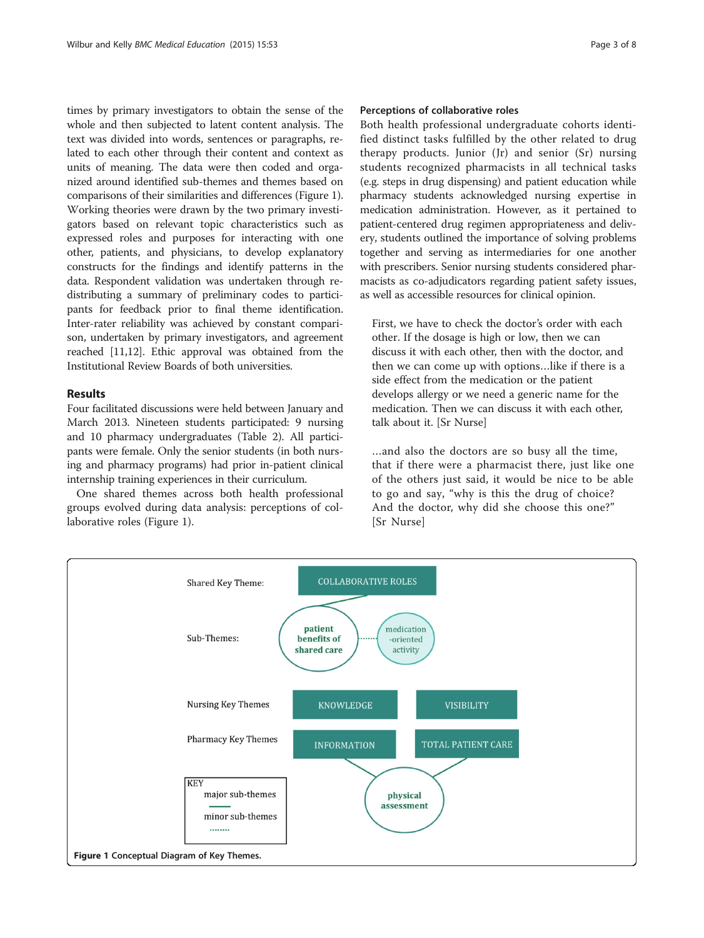<span id="page-2-0"></span>times by primary investigators to obtain the sense of the whole and then subjected to latent content analysis. The text was divided into words, sentences or paragraphs, related to each other through their content and context as units of meaning. The data were then coded and organized around identified sub-themes and themes based on comparisons of their similarities and differences (Figure 1). Working theories were drawn by the two primary investigators based on relevant topic characteristics such as expressed roles and purposes for interacting with one other, patients, and physicians, to develop explanatory constructs for the findings and identify patterns in the data. Respondent validation was undertaken through redistributing a summary of preliminary codes to participants for feedback prior to final theme identification. Inter-rater reliability was achieved by constant comparison, undertaken by primary investigators, and agreement reached [\[11,](#page-6-0)[12](#page-7-0)]. Ethic approval was obtained from the Institutional Review Boards of both universities.

#### Results

Four facilitated discussions were held between January and March 2013. Nineteen students participated: 9 nursing and 10 pharmacy undergraduates (Table [2](#page-3-0)). All participants were female. Only the senior students (in both nursing and pharmacy programs) had prior in-patient clinical internship training experiences in their curriculum.

One shared themes across both health professional groups evolved during data analysis: perceptions of collaborative roles (Figure 1).

#### Perceptions of collaborative roles

Both health professional undergraduate cohorts identified distinct tasks fulfilled by the other related to drug therapy products. Junior (Jr) and senior (Sr) nursing students recognized pharmacists in all technical tasks (e.g. steps in drug dispensing) and patient education while pharmacy students acknowledged nursing expertise in medication administration. However, as it pertained to patient-centered drug regimen appropriateness and delivery, students outlined the importance of solving problems together and serving as intermediaries for one another with prescribers. Senior nursing students considered pharmacists as co-adjudicators regarding patient safety issues, as well as accessible resources for clinical opinion.

First, we have to check the doctor's order with each other. If the dosage is high or low, then we can discuss it with each other, then with the doctor, and then we can come up with options…like if there is a side effect from the medication or the patient develops allergy or we need a generic name for the medication. Then we can discuss it with each other, talk about it. [Sr Nurse]

…and also the doctors are so busy all the time, that if there were a pharmacist there, just like one of the others just said, it would be nice to be able to go and say, "why is this the drug of choice? And the doctor, why did she choose this one?" [Sr Nurse]

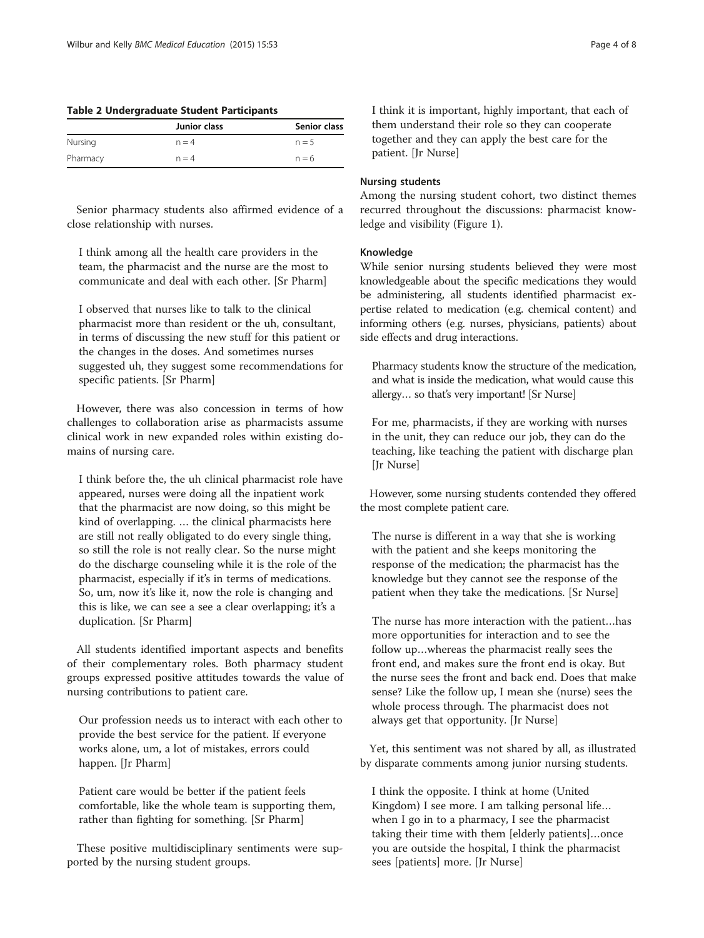<span id="page-3-0"></span>Table 2 Undergraduate Student Participants

|          | Junior class | <b>Senior class</b> |
|----------|--------------|---------------------|
| Nursing  | $n = 4$      | $n = 5$             |
| Pharmacy | $n = 4$      | $n = 6$             |

Senior pharmacy students also affirmed evidence of a close relationship with nurses.

I think among all the health care providers in the team, the pharmacist and the nurse are the most to communicate and deal with each other. [Sr Pharm]

I observed that nurses like to talk to the clinical pharmacist more than resident or the uh, consultant, in terms of discussing the new stuff for this patient or the changes in the doses. And sometimes nurses suggested uh, they suggest some recommendations for specific patients. [Sr Pharm]

However, there was also concession in terms of how challenges to collaboration arise as pharmacists assume clinical work in new expanded roles within existing domains of nursing care.

I think before the, the uh clinical pharmacist role have appeared, nurses were doing all the inpatient work that the pharmacist are now doing, so this might be kind of overlapping. … the clinical pharmacists here are still not really obligated to do every single thing, so still the role is not really clear. So the nurse might do the discharge counseling while it is the role of the pharmacist, especially if it's in terms of medications. So, um, now it's like it, now the role is changing and this is like, we can see a see a clear overlapping; it's a duplication. [Sr Pharm]

All students identified important aspects and benefits of their complementary roles. Both pharmacy student groups expressed positive attitudes towards the value of nursing contributions to patient care.

Our profession needs us to interact with each other to provide the best service for the patient. If everyone works alone, um, a lot of mistakes, errors could happen. [Jr Pharm]

Patient care would be better if the patient feels comfortable, like the whole team is supporting them, rather than fighting for something. [Sr Pharm]

These positive multidisciplinary sentiments were supported by the nursing student groups.

#### Nursing students

Among the nursing student cohort, two distinct themes recurred throughout the discussions: pharmacist knowledge and visibility (Figure [1](#page-2-0)).

#### Knowledge

While senior nursing students believed they were most knowledgeable about the specific medications they would be administering, all students identified pharmacist expertise related to medication (e.g. chemical content) and informing others (e.g. nurses, physicians, patients) about side effects and drug interactions.

Pharmacy students know the structure of the medication, and what is inside the medication, what would cause this allergy… so that's very important! [Sr Nurse]

For me, pharmacists, if they are working with nurses in the unit, they can reduce our job, they can do the teaching, like teaching the patient with discharge plan [Jr Nurse]

However, some nursing students contended they offered the most complete patient care.

The nurse is different in a way that she is working with the patient and she keeps monitoring the response of the medication; the pharmacist has the knowledge but they cannot see the response of the patient when they take the medications. [Sr Nurse]

The nurse has more interaction with the patient…has more opportunities for interaction and to see the follow up…whereas the pharmacist really sees the front end, and makes sure the front end is okay. But the nurse sees the front and back end. Does that make sense? Like the follow up, I mean she (nurse) sees the whole process through. The pharmacist does not always get that opportunity. [Jr Nurse]

Yet, this sentiment was not shared by all, as illustrated by disparate comments among junior nursing students.

I think the opposite. I think at home (United Kingdom) I see more. I am talking personal life… when I go in to a pharmacy, I see the pharmacist taking their time with them [elderly patients]…once you are outside the hospital, I think the pharmacist sees [patients] more. [Jr Nurse]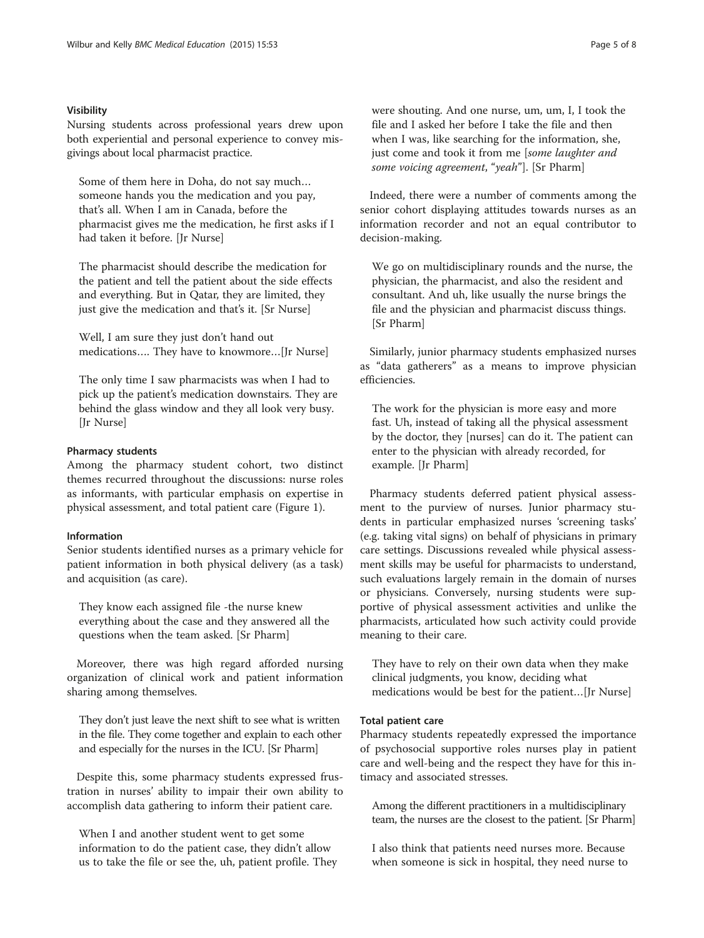#### Visibility

Nursing students across professional years drew upon both experiential and personal experience to convey misgivings about local pharmacist practice.

Some of them here in Doha, do not say much… someone hands you the medication and you pay, that's all. When I am in Canada, before the pharmacist gives me the medication, he first asks if I had taken it before. [Jr Nurse]

The pharmacist should describe the medication for the patient and tell the patient about the side effects and everything. But in Qatar, they are limited, they just give the medication and that's it. [Sr Nurse]

Well, I am sure they just don't hand out medications…. They have to knowmore…[Jr Nurse]

The only time I saw pharmacists was when I had to pick up the patient's medication downstairs. They are behind the glass window and they all look very busy. [Jr Nurse]

# Pharmacy students

Among the pharmacy student cohort, two distinct themes recurred throughout the discussions: nurse roles as informants, with particular emphasis on expertise in physical assessment, and total patient care (Figure [1\)](#page-2-0).

## Information

Senior students identified nurses as a primary vehicle for patient information in both physical delivery (as a task) and acquisition (as care).

They know each assigned file -the nurse knew everything about the case and they answered all the questions when the team asked. [Sr Pharm]

Moreover, there was high regard afforded nursing organization of clinical work and patient information sharing among themselves.

They don't just leave the next shift to see what is written in the file. They come together and explain to each other and especially for the nurses in the ICU. [Sr Pharm]

Despite this, some pharmacy students expressed frustration in nurses' ability to impair their own ability to accomplish data gathering to inform their patient care.

When I and another student went to get some information to do the patient case, they didn't allow us to take the file or see the, uh, patient profile. They were shouting. And one nurse, um, um, I, I took the file and I asked her before I take the file and then when I was, like searching for the information, she, just come and took it from me [some laughter and some voicing agreement, "yeah"]. [Sr Pharm]

Indeed, there were a number of comments among the senior cohort displaying attitudes towards nurses as an information recorder and not an equal contributor to decision-making.

We go on multidisciplinary rounds and the nurse, the physician, the pharmacist, and also the resident and consultant. And uh, like usually the nurse brings the file and the physician and pharmacist discuss things. [Sr Pharm]

Similarly, junior pharmacy students emphasized nurses as "data gatherers" as a means to improve physician efficiencies.

The work for the physician is more easy and more fast. Uh, instead of taking all the physical assessment by the doctor, they [nurses] can do it. The patient can enter to the physician with already recorded, for example. [Jr Pharm]

Pharmacy students deferred patient physical assessment to the purview of nurses. Junior pharmacy students in particular emphasized nurses 'screening tasks' (e.g. taking vital signs) on behalf of physicians in primary care settings. Discussions revealed while physical assessment skills may be useful for pharmacists to understand, such evaluations largely remain in the domain of nurses or physicians. Conversely, nursing students were supportive of physical assessment activities and unlike the pharmacists, articulated how such activity could provide meaning to their care.

They have to rely on their own data when they make clinical judgments, you know, deciding what medications would be best for the patient…[Jr Nurse]

#### Total patient care

Pharmacy students repeatedly expressed the importance of psychosocial supportive roles nurses play in patient care and well-being and the respect they have for this intimacy and associated stresses.

Among the different practitioners in a multidisciplinary team, the nurses are the closest to the patient. [Sr Pharm]

I also think that patients need nurses more. Because when someone is sick in hospital, they need nurse to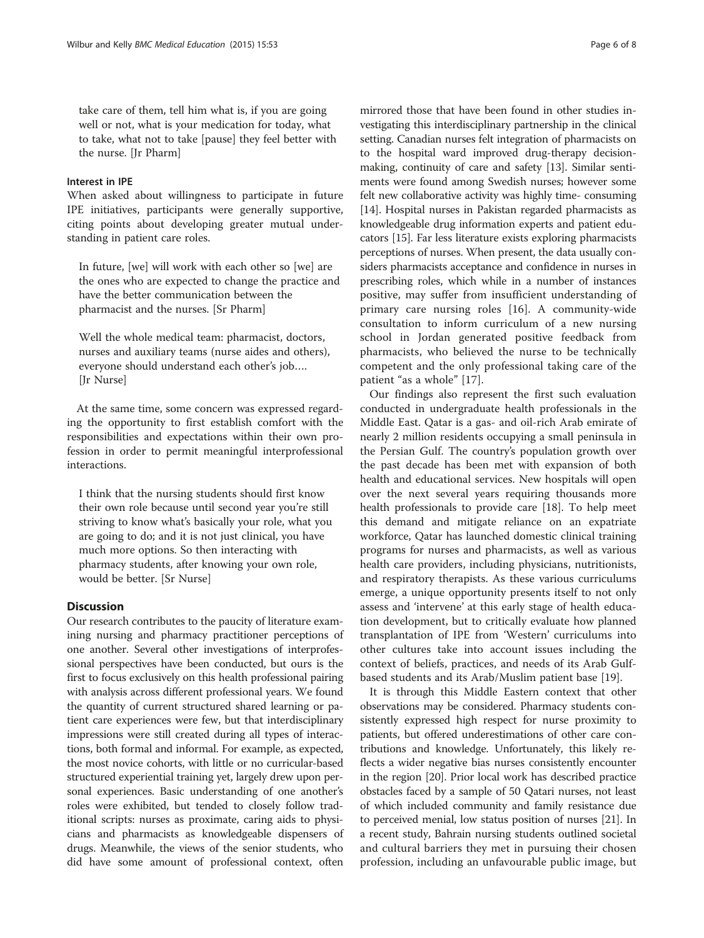take care of them, tell him what is, if you are going well or not, what is your medication for today, what to take, what not to take [pause] they feel better with the nurse. [Jr Pharm]

#### Interest in IPE

When asked about willingness to participate in future IPE initiatives, participants were generally supportive, citing points about developing greater mutual understanding in patient care roles.

In future, [we] will work with each other so [we] are the ones who are expected to change the practice and have the better communication between the pharmacist and the nurses. [Sr Pharm]

Well the whole medical team: pharmacist, doctors, nurses and auxiliary teams (nurse aides and others), everyone should understand each other's job…. [Jr Nurse]

At the same time, some concern was expressed regarding the opportunity to first establish comfort with the responsibilities and expectations within their own profession in order to permit meaningful interprofessional interactions.

I think that the nursing students should first know their own role because until second year you're still striving to know what's basically your role, what you are going to do; and it is not just clinical, you have much more options. So then interacting with pharmacy students, after knowing your own role, would be better. [Sr Nurse]

# **Discussion**

Our research contributes to the paucity of literature examining nursing and pharmacy practitioner perceptions of one another. Several other investigations of interprofessional perspectives have been conducted, but ours is the first to focus exclusively on this health professional pairing with analysis across different professional years. We found the quantity of current structured shared learning or patient care experiences were few, but that interdisciplinary impressions were still created during all types of interactions, both formal and informal. For example, as expected, the most novice cohorts, with little or no curricular-based structured experiential training yet, largely drew upon personal experiences. Basic understanding of one another's roles were exhibited, but tended to closely follow traditional scripts: nurses as proximate, caring aids to physicians and pharmacists as knowledgeable dispensers of drugs. Meanwhile, the views of the senior students, who did have some amount of professional context, often mirrored those that have been found in other studies investigating this interdisciplinary partnership in the clinical setting. Canadian nurses felt integration of pharmacists on to the hospital ward improved drug-therapy decisionmaking, continuity of care and safety [\[13\]](#page-7-0). Similar sentiments were found among Swedish nurses; however some felt new collaborative activity was highly time- consuming [[14](#page-7-0)]. Hospital nurses in Pakistan regarded pharmacists as knowledgeable drug information experts and patient educators [[15](#page-7-0)]. Far less literature exists exploring pharmacists perceptions of nurses. When present, the data usually considers pharmacists acceptance and confidence in nurses in prescribing roles, which while in a number of instances positive, may suffer from insufficient understanding of primary care nursing roles [[16\]](#page-7-0). A community-wide consultation to inform curriculum of a new nursing school in Jordan generated positive feedback from pharmacists, who believed the nurse to be technically competent and the only professional taking care of the patient "as a whole" [[17\]](#page-7-0).

Our findings also represent the first such evaluation conducted in undergraduate health professionals in the Middle East. Qatar is a gas- and oil-rich Arab emirate of nearly 2 million residents occupying a small peninsula in the Persian Gulf. The country's population growth over the past decade has been met with expansion of both health and educational services. New hospitals will open over the next several years requiring thousands more health professionals to provide care [[18\]](#page-7-0). To help meet this demand and mitigate reliance on an expatriate workforce, Qatar has launched domestic clinical training programs for nurses and pharmacists, as well as various health care providers, including physicians, nutritionists, and respiratory therapists. As these various curriculums emerge, a unique opportunity presents itself to not only assess and 'intervene' at this early stage of health education development, but to critically evaluate how planned transplantation of IPE from 'Western' curriculums into other cultures take into account issues including the context of beliefs, practices, and needs of its Arab Gulfbased students and its Arab/Muslim patient base [[19\]](#page-7-0).

It is through this Middle Eastern context that other observations may be considered. Pharmacy students consistently expressed high respect for nurse proximity to patients, but offered underestimations of other care contributions and knowledge. Unfortunately, this likely reflects a wider negative bias nurses consistently encounter in the region [\[20\]](#page-7-0). Prior local work has described practice obstacles faced by a sample of 50 Qatari nurses, not least of which included community and family resistance due to perceived menial, low status position of nurses [\[21\]](#page-7-0). In a recent study, Bahrain nursing students outlined societal and cultural barriers they met in pursuing their chosen profession, including an unfavourable public image, but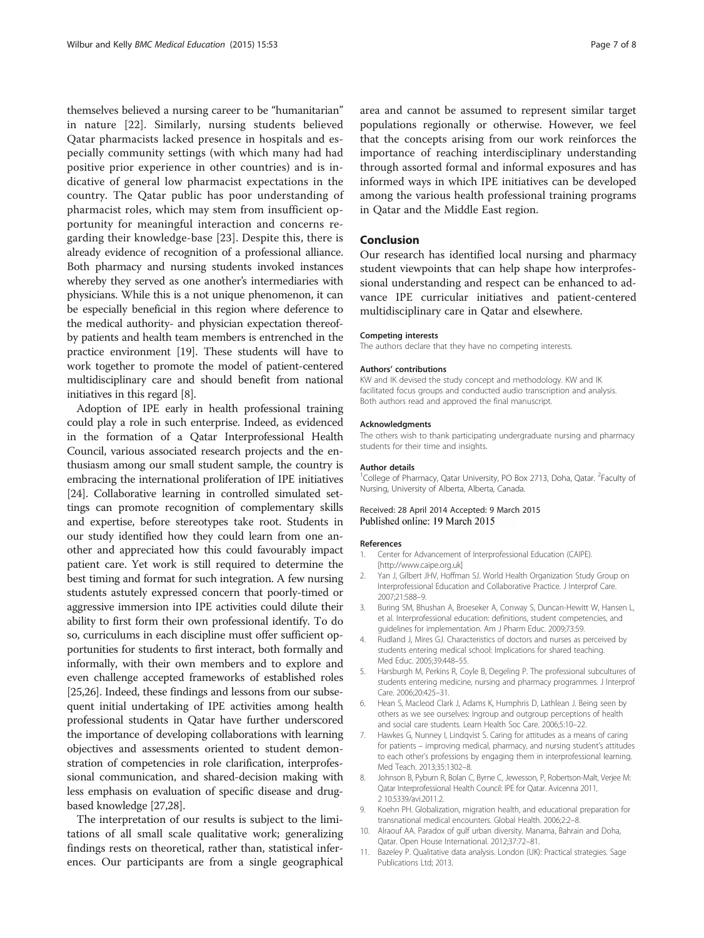<span id="page-6-0"></span>themselves believed a nursing career to be "humanitarian" in nature [[22\]](#page-7-0). Similarly, nursing students believed Qatar pharmacists lacked presence in hospitals and especially community settings (with which many had had positive prior experience in other countries) and is indicative of general low pharmacist expectations in the country. The Qatar public has poor understanding of pharmacist roles, which may stem from insufficient opportunity for meaningful interaction and concerns regarding their knowledge-base [\[23](#page-7-0)]. Despite this, there is already evidence of recognition of a professional alliance. Both pharmacy and nursing students invoked instances whereby they served as one another's intermediaries with physicians. While this is a not unique phenomenon, it can be especially beneficial in this region where deference to the medical authority- and physician expectation thereofby patients and health team members is entrenched in the practice environment [[19](#page-7-0)]. These students will have to work together to promote the model of patient-centered multidisciplinary care and should benefit from national initiatives in this regard [8].

Adoption of IPE early in health professional training could play a role in such enterprise. Indeed, as evidenced in the formation of a Qatar Interprofessional Health Council, various associated research projects and the enthusiasm among our small student sample, the country is embracing the international proliferation of IPE initiatives [[24](#page-7-0)]. Collaborative learning in controlled simulated settings can promote recognition of complementary skills and expertise, before stereotypes take root. Students in our study identified how they could learn from one another and appreciated how this could favourably impact patient care. Yet work is still required to determine the best timing and format for such integration. A few nursing students astutely expressed concern that poorly-timed or aggressive immersion into IPE activities could dilute their ability to first form their own professional identify. To do so, curriculums in each discipline must offer sufficient opportunities for students to first interact, both formally and informally, with their own members and to explore and even challenge accepted frameworks of established roles [[25,26](#page-7-0)]. Indeed, these findings and lessons from our subsequent initial undertaking of IPE activities among health professional students in Qatar have further underscored the importance of developing collaborations with learning objectives and assessments oriented to student demonstration of competencies in role clarification, interprofessional communication, and shared-decision making with less emphasis on evaluation of specific disease and drugbased knowledge [\[27,28](#page-7-0)].

The interpretation of our results is subject to the limitations of all small scale qualitative work; generalizing findings rests on theoretical, rather than, statistical inferences. Our participants are from a single geographical area and cannot be assumed to represent similar target populations regionally or otherwise. However, we feel that the concepts arising from our work reinforces the importance of reaching interdisciplinary understanding through assorted formal and informal exposures and has informed ways in which IPE initiatives can be developed among the various health professional training programs in Qatar and the Middle East region.

## Conclusion

Our research has identified local nursing and pharmacy student viewpoints that can help shape how interprofessional understanding and respect can be enhanced to advance IPE curricular initiatives and patient-centered multidisciplinary care in Qatar and elsewhere.

#### Competing interests

The authors declare that they have no competing interests.

#### Authors' contributions

KW and IK devised the study concept and methodology. KW and IK facilitated focus groups and conducted audio transcription and analysis. Both authors read and approved the final manuscript.

#### Acknowledgments

The others wish to thank participating undergraduate nursing and pharmacy students for their time and insights.

#### Author details

<sup>1</sup>College of Pharmacy, Qatar University, PO Box 2713, Doha, Qatar. <sup>2</sup>Faculty of Nursing, University of Alberta, Alberta, Canada.

#### Received: 28 April 2014 Accepted: 9 March 2015 Published online: 19 March 2015

#### References

- 1. Center for Advancement of Interprofessional Education (CAIPE). [[http://www.caipe.org.uk\]](http://www.caipe.org.uk)
- 2. Yan J, Gilbert JHV, Hoffman SJ. World Health Organization Study Group on Interprofessional Education and Collaborative Practice. J Interprof Care. 2007;21:588–9.
- 3. Buring SM, Bhushan A, Broeseker A, Conway S, Duncan-Hewitt W, Hansen L, et al. Interprofessional education: definitions, student competencies, and guidelines for implementation. Am J Pharm Educ. 2009;73:59.
- 4. Rudland J, Mires GJ. Characteristics of doctors and nurses as perceived by students entering medical school: Implications for shared teaching. Med Educ. 2005;39:448–55.
- 5. Harsburgh M, Perkins R, Coyle B, Degeling P. The professional subcultures of students entering medicine, nursing and pharmacy programmes. J Interprof Care. 2006;20:425–31.
- 6. Hean S, Macleod Clark J, Adams K, Humphris D, Lathlean J. Being seen by others as we see ourselves: Ingroup and outgroup perceptions of health and social care students. Learn Health Soc Care. 2006;5:10–22.
- 7. Hawkes G, Nunney I, Lindqvist S. Caring for attitudes as a means of caring for patients – improving medical, pharmacy, and nursing student's attitudes to each other's professions by engaging them in interprofessional learning. Med Teach. 2013;35:1302–8.
- Johnson B, Pyburn R, Bolan C, Byrne C, Jewesson, P, Robertson-Malt, Verjee M: Qatar Interprofessional Health Council: IPE for Qatar. Avicenna 2011, 2 10.5339/avi.2011.2.
- 9. Koehn PH. Globalization, migration health, and educational preparation for transnational medical encounters. Global Health. 2006;2:2–8.
- 10. Alraouf AA. Paradox of gulf urban diversity. Manama, Bahrain and Doha, Qatar. Open House International. 2012;37:72–81.
- 11. Bazeley P. Qualitative data analysis. London (UK): Practical strategies. Sage Publications Ltd; 2013.